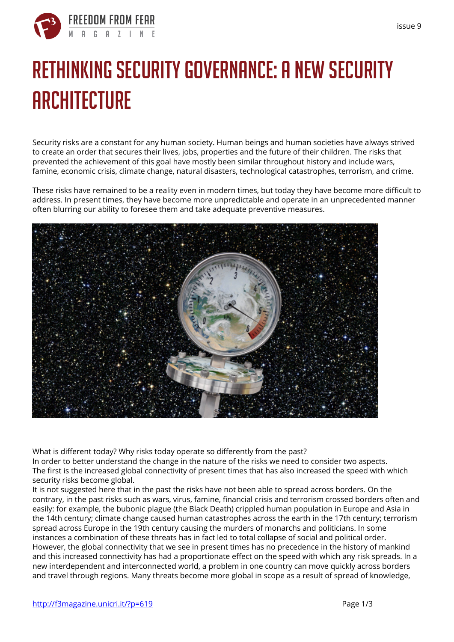

## **Rethinking security governance: a new security architecture**

**Security risks are a constant for any human society. Human beings and human societies have always strived to create an order that secures their lives, jobs, properties and the future of their children. The risks that prevented the achievement of this goal have mostly been similar throughout history and include wars, famine, economic crisis, climate change, natural disasters, technological catastrophes, terrorism, and crime.**

These risks have remained to be a reality even in modern times, but today they have become more difficult to address. In present times, they have become more unpredictable and operate in an unprecedented manner often blurring our ability to foresee them and take adequate preventive measures.



What is different today? Why risks today operate so differently from the past?

In order to better understand the change in the nature of the risks we need to consider two aspects. The first is the increased global connectivity of present times that has also increased the speed with which security risks become global.

It is not suggested here that in the past the risks have not been able to spread across borders. On the contrary, in the past risks such as wars, virus, famine, financial crisis and terrorism crossed borders often and easily: for example, the bubonic plague (the Black Death) crippled human population in Europe and Asia in the 14th century; climate change caused human catastrophes across the earth in the 17th century; terrorism spread across Europe in the 19th century causing the murders of monarchs and politicians. In some instances a combination of these threats has in fact led to total collapse of social and political order. However, the global connectivity that we see in present times has no precedence in the history of mankind and this increased connectivity has had a proportionate effect on the speed with which any risk spreads. In a new interdependent and interconnected world, a problem in one country can move quickly across borders and travel through regions. Many threats become more global in scope as a result of spread of knowledge,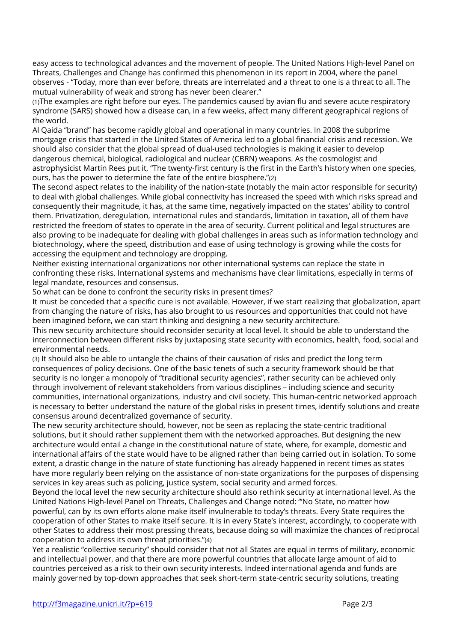easy access to technological advances and the movement of people. The United Nations High-level Panel on Threats, Challenges and Change has confirmed this phenomenon in its report in 2004, where the panel observes - "Today, more than ever before, threats are interrelated and a threat to one is a threat to all. The mutual vulnerability of weak and strong has never been clearer."

*(1)*The examples are right before our eyes. The pandemics caused by avian flu and severe acute respiratory syndrome (SARS) showed how a disease can, in a few weeks, affect many different geographical regions of the world.

Al Qaida "brand" has become rapidly global and operational in many countries. In 2008 the subprime mortgage crisis that started in the United States of America led to a global financial crisis and recession. We should also consider that the global spread of dual-used technologies is making it easier to develop dangerous chemical, biological, radiological and nuclear (CBRN) weapons. As the cosmologist and astrophysicist Martin Rees put it, "The twenty-first century is the first in the Earth's history when one species, ours, has the power to determine the fate of the entire biosphere."*(2)*

The second aspect relates to the inability of the nation-state (notably the main actor responsible for security) to deal with global challenges. While global connectivity has increased the speed with which risks spread and consequently their magnitude, it has, at the same time, negatively impacted on the states' ability to control them. Privatization, deregulation, international rules and standards, limitation in taxation, all of them have restricted the freedom of states to operate in the area of security. Current political and legal structures are also proving to be inadequate for dealing with global challenges in areas such as information technology and biotechnology, where the speed, distribution and ease of using technology is growing while the costs for accessing the equipment and technology are dropping.

Neither existing international organizations nor other international systems can replace the state in confronting these risks. International systems and mechanisms have clear limitations, especially in terms of legal mandate, resources and consensus.

So what can be done to confront the security risks in present times?

It must be conceded that a specific cure is not available. However, if we start realizing that globalization, apart from changing the nature of risks, has also brought to us resources and opportunities that could not have been imagined before, we can start thinking and designing a new security architecture.

This new security architecture should reconsider security at local level. It should be able to understand the interconnection between different risks by juxtaposing state security with economics, health, food, social and environmental needs.

*(3)* It should also be able to untangle the chains of their causation of risks and predict the long term consequences of policy decisions. One of the basic tenets of such a security framework should be that security is no longer a monopoly of "traditional security agencies", rather security can be achieved only through involvement of relevant stakeholders from various disciplines – including science and security communities, international organizations, industry and civil society. This human-centric networked approach is necessary to better understand the nature of the global risks in present times, identify solutions and create consensus around decentralized governance of security.

The new security architecture should, however, not be seen as replacing the state-centric traditional solutions, but it should rather supplement them with the networked approaches. But designing the new architecture would entail a change in the constitutional nature of state, where, for example, domestic and international affairs of the state would have to be aligned rather than being carried out in isolation. To some extent, a drastic change in the nature of state functioning has already happened in recent times as states have more regularly been relying on the assistance of non-state organizations for the purposes of dispensing services in key areas such as policing, justice system, social security and armed forces.

Beyond the local level the new security architecture should also rethink security at international level. As the United Nations High-level Panel on Threats, Challenges and Change noted: "'No State, no matter how powerful, can by its own efforts alone make itself invulnerable to today's threats. Every State requires the cooperation of other States to make itself secure. It is in every State's interest, accordingly, to cooperate with other States to address their most pressing threats, because doing so will maximize the chances of reciprocal cooperation to address its own threat priorities."*(4)*

Yet a realistic "collective security" should consider that not all States are equal in terms of military, economic and intellectual power, and that there are more powerful countries that allocate large amount of aid to countries perceived as a risk to their own security interests. Indeed international agenda and funds are mainly governed by top-down approaches that seek short-term state-centric security solutions, treating